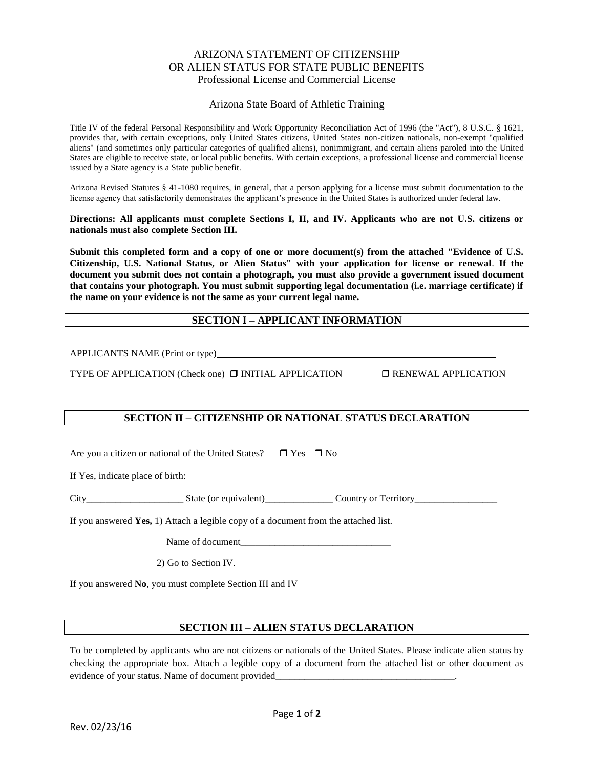## ARIZONA STATEMENT OF CITIZENSHIP OR ALIEN STATUS FOR STATE PUBLIC BENEFITS Professional License and Commercial License

#### Arizona State Board of Athletic Training

Title IV of the federal Personal Responsibility and Work Opportunity Reconciliation Act of 1996 (the "Act"), 8 U.S.C. § 1621, provides that, with certain exceptions, only United States citizens, United States non-citizen nationals, non-exempt "qualified aliens" (and sometimes only particular categories of qualified aliens), nonimmigrant, and certain aliens paroled into the United States are eligible to receive state, or local public benefits. With certain exceptions, a professional license and commercial license issued by a State agency is a State public benefit.

Arizona Revised Statutes § 41-1080 requires, in general, that a person applying for a license must submit documentation to the license agency that satisfactorily demonstrates the applicant's presence in the United States is authorized under federal law.

**Directions: All applicants must complete Sections I, II, and IV. Applicants who are not U.S. citizens or nationals must also complete Section III.**

**Submit this completed form and a copy of one or more document(s) from the attached "Evidence of U.S. Citizenship, U.S. National Status, or Alien Status" with your application for license or renewal**. **If the document you submit does not contain a photograph, you must also provide a government issued document that contains your photograph. You must submit supporting legal documentation (i.e. marriage certificate) if the name on your evidence is not the same as your current legal name.** 

## **SECTION I – APPLICANT INFORMATION**

APPLICANTS NAME (Print or type) \_\_\_\_\_\_\_\_\_\_\_\_\_\_\_\_\_\_\_\_\_\_\_\_\_\_\_\_\_\_\_\_\_\_\_\_\_\_\_\_\_\_\_\_\_\_\_\_\_\_\_\_\_\_\_\_\_

TYPE OF APPLICATION (Check one) **INITIAL APPLICATION INENEWAL APPLICATION** 

# **SECTION II – CITIZENSHIP OR NATIONAL STATUS DECLARATION**

Are you a citizen or national of the United States?  $\Box$  Yes  $\Box$  No

If Yes, indicate place of birth:

City State (or equivalent) Country or Territory

If you answered **Yes,** 1) Attach a legible copy of a document from the attached list.

Name of document

2) Go to Section IV.

If you answered **No**, you must complete Section III and IV

### **SECTION III – ALIEN STATUS DECLARATION**

To be completed by applicants who are not citizens or nationals of the United States. Please indicate alien status by checking the appropriate box. Attach a legible copy of a document from the attached list or other document as evidence of your status. Name of document provided\_